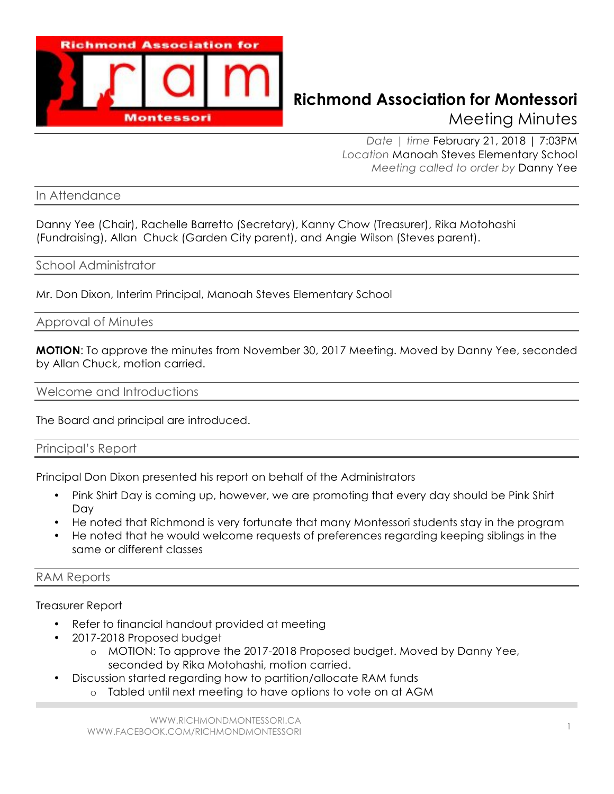

## **Richmond Association for Montessori** Meeting Minutes

*Date | time* February 21, 2018 | 7:03PM *Location* Manoah Steves Elementary School *Meeting called to order by* Danny Yee

In Attendance

Danny Yee (Chair), Rachelle Barretto (Secretary), Kanny Chow (Treasurer), Rika Motohashi (Fundraising), Allan Chuck (Garden City parent), and Angie Wilson (Steves parent).

## School Administrator

Mr. Don Dixon, Interim Principal, Manoah Steves Elementary School

Approval of Minutes

**MOTION**: To approve the minutes from November 30, 2017 Meeting. Moved by Danny Yee, seconded by Allan Chuck, motion carried.

Welcome and Introductions

The Board and principal are introduced.

Principal's Report

Principal Don Dixon presented his report on behalf of the Administrators

- Pink Shirt Day is coming up, however, we are promoting that every day should be Pink Shirt Day
- He noted that Richmond is very fortunate that many Montessori students stay in the program
- He noted that he would welcome requests of preferences regarding keeping siblings in the same or different classes

## RAM Reports

Treasurer Report

- Refer to financial handout provided at meeting
- 2017-2018 Proposed budget
	- o MOTION: To approve the 2017-2018 Proposed budget. Moved by Danny Yee, seconded by Rika Motohashi, motion carried.
- Discussion started regarding how to partition/allocate RAM funds
	- o Tabled until next meeting to have options to vote on at AGM